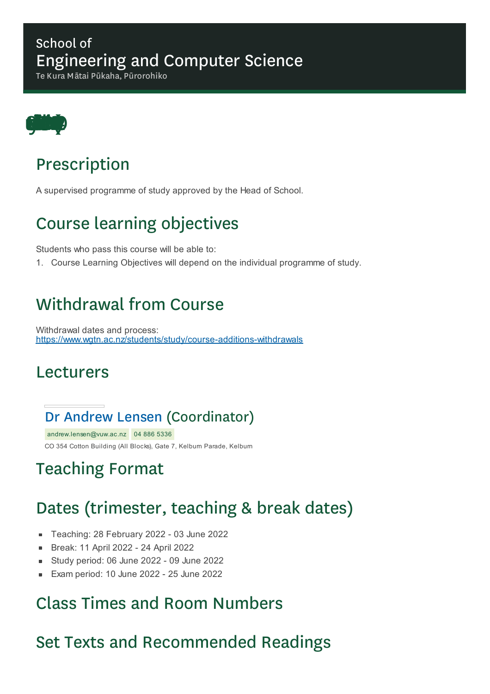#### School of Engineering and Computer Science

Te Kura Mātai Pūkaha, Pūrorohiko



# Prescription

A supervised programme of study approved by the Head of School.

# Course learning objectives

Students who pass this course will be able to:

1. Course Learning Objectives will depend on the individual programme of study.

### Withdrawal from Course

Withdrawal dates and process: https://www.wgtn.ac.nz/students/study/course-additions-withdrawals

#### Lecturers

#### Dr Andrew Lensen (Coordinator)

andrew.lensen@vuw.ac.nz 04 886 5336 CO 354 Cotton Building (All Blocks), Gate 7, Kelburn Parade, Kelburn

# Teaching Format

# Dates (trimester, teaching & break dates)

- Teaching: 28 February 2022 03 June 2022  $\blacksquare$
- Break: 11 April 2022 24 April 2022 r.
- Study period: 06 June 2022 09 June 2022  $\blacksquare$
- Exam period: 10 June 2022 25 June 2022  $\blacksquare$

### Class Times and Room Numbers

### Set Texts and Recommended Readings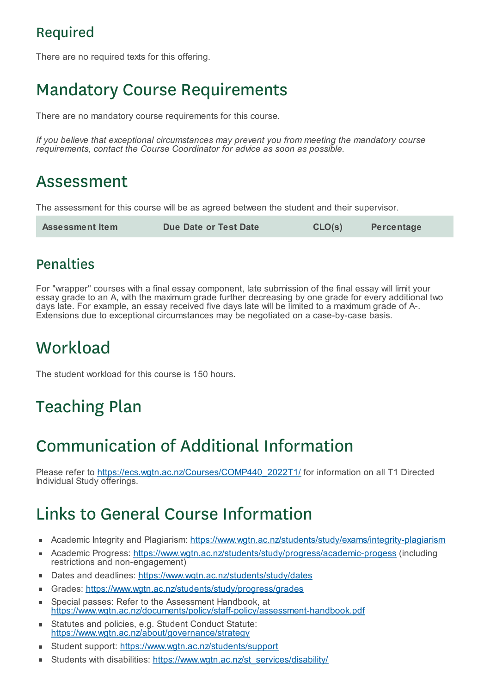#### Required

There are no required texts for this offering.

# Mandatory Course Requirements

There are no mandatory course requirements for this course.

*If you believe that exceptional circumstances may prevent you from meeting the mandatory course requirements, contact the Course Coordinator for advice as soon as possible.*

### Assessment

The assessment for this course will be as agreed between the student and their supervisor.

| <b>Assessment Item</b> | Due Date or Test Date | CLO(s) | Percentage |
|------------------------|-----------------------|--------|------------|
|------------------------|-----------------------|--------|------------|

#### Penalties

For "wrapper" courses with a final essay component, late submission of the final essay will limit your essay grade to an A, with the maximum grade further decreasing by one grade for every additional two days late. For example, an essay received five days late will be limited to a maximum grade of A-. Extensions due to exceptional circumstances may be negotiated on a case-by-case basis.

# **Workload**

The student workload for this course is 150 hours.

# Teaching Plan

# Communication of Additional Information

Please refer to https://ecs.wgtn.ac.nz/Courses/COMP440\_2022T1/ for information on all T1 Directed Individual Study offerings.

# Links to General Course Information

- Academic Integrity and Plagiarism: https://www.wgtn.ac.nz/students/study/exams/integrity-plagiarism
- Academic Progress: https://www.wgtn.ac.nz/students/study/progress/academic-progess (including × restrictions and non-engagement)
- Dates and deadlines: https://www.wgtn.ac.nz/students/study/dates
- Grades: https://www.wgtn.ac.nz/students/study/progress/grades  $\blacksquare$
- Special passes: Refer to the Assessment Handbook, at × https://www.wgtn.ac.nz/documents/policy/staff-policy/assessment-handbook.pdf
- Statutes and policies, e.g. Student Conduct Statute: https://www.wgtn.ac.nz/about/governance/strategy
- Student support: https://www.wgtn.ac.nz/students/support
- Students with disabilities: https://www.wgtn.ac.nz/st\_services/disability/